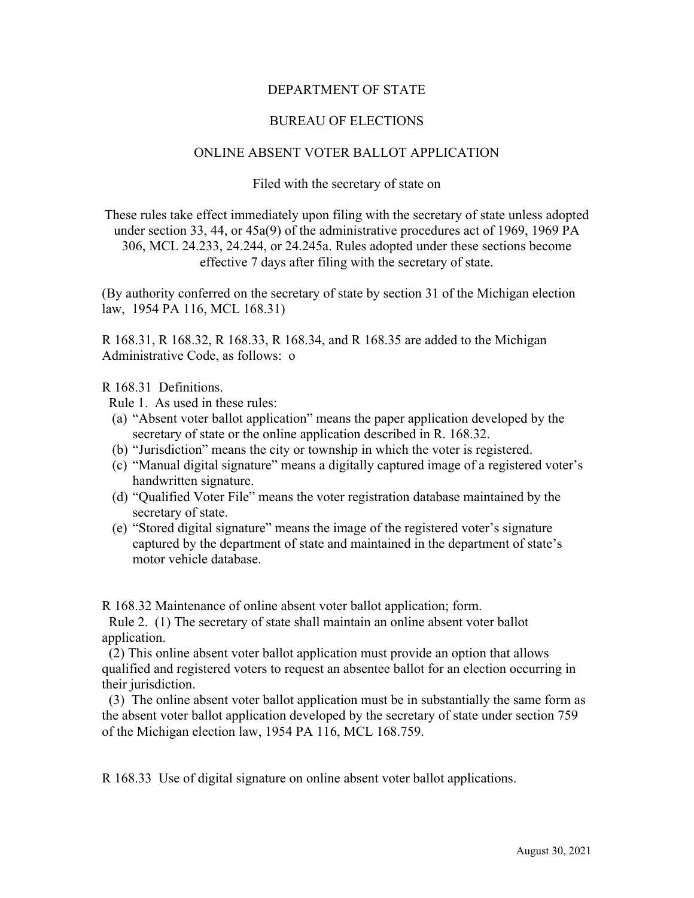## DEPARTMENT OF STATE

## BUREAU OF ELECTIONS

## ONLINE ABSENT VOTER BALLOT APPLICATION

Filed with the secretary of state on

These rules take effect immediately upon filing with the secretary of state unless adopted under section 33, 44, or 45a(9) of the administrative procedures act of 1969, 1969 PA 306, MCL 24.233, 24.244, or 24.245a. Rules adopted under these sections become effective 7 days after filing with the secretary of state.

(By authority conferred on the secretary of state by section 31 of the Michigan election law, 1954 PA 116, MCL 168.31)

R 168.31, R 168.32, R 168.33, R 168.34, and R 168.35 are added to the Michigan Administrative Code, as follows: o

R 168.31 Definitions.

Rule 1. As used in these rules:

- (a) "Absent voter ballot application" means the paper application developed by the secretary of state or the online application described in R. 168.32.
- (b) "Jurisdiction" means the city or township in which the voter is registered.
- (c) "Manual digital signature" means a digitally captured image of a registered voter's handwritten signature.
- (d) "Qualified Voter File" means the voter registration database maintained by the secretary of state.
- (e) "Stored digital signature" means the image of the registered voter's signature captured by the department of state and maintained in the department of state's motor vehicle database.

R 168.32 Maintenance of online absent voter ballot application; form.

 Rule 2. (1) The secretary of state shall maintain an online absent voter ballot application.

 (2) This online absent voter ballot application must provide an option that allows qualified and registered voters to request an absentee ballot for an election occurring in their jurisdiction.

 (3) The online absent voter ballot application must be in substantially the same form as the absent voter ballot application developed by the secretary of state under section 759 of the Michigan election law, 1954 PA 116, MCL 168.759.

R 168.33 Use of digital signature on online absent voter ballot applications.